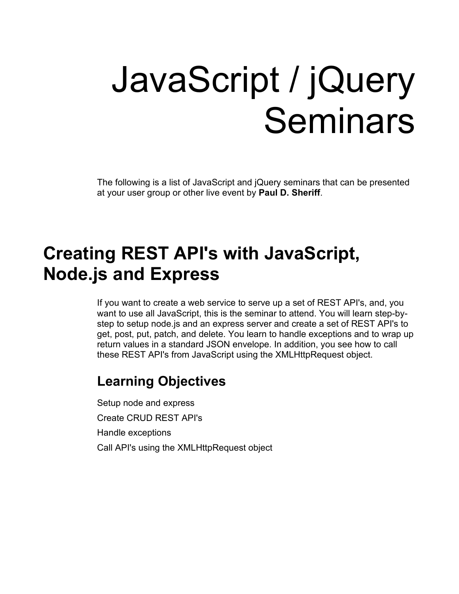# JavaScript / jQuery Seminars

The following is a list of JavaScript and jQuery seminars that can be presented at your user group or other live event by **Paul D. Sheriff**.

### **Creating REST API's with JavaScript, Node.js and Express**

If you want to create a web service to serve up a set of REST API's, and, you want to use all JavaScript, this is the seminar to attend. You will learn step-bystep to setup node.js and an express server and create a set of REST API's to get, post, put, patch, and delete. You learn to handle exceptions and to wrap up return values in a standard JSON envelope. In addition, you see how to call these REST API's from JavaScript using the XMLHttpRequest object.

#### **Learning Objectives**

Setup node and express Create CRUD REST API's Handle exceptions Call API's using the XMLHttpRequest object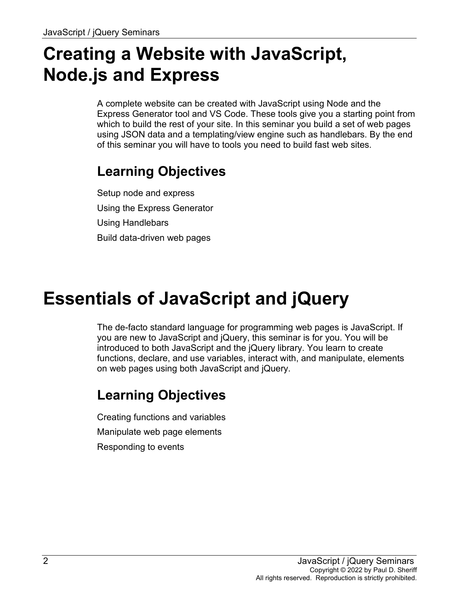# **Creating a Website with JavaScript, Node.js and Express**

A complete website can be created with JavaScript using Node and the Express Generator tool and VS Code. These tools give you a starting point from which to build the rest of your site. In this seminar you build a set of web pages using JSON data and a templating/view engine such as handlebars. By the end of this seminar you will have to tools you need to build fast web sites.

### **Learning Objectives**

Setup node and express Using the Express Generator Using Handlebars Build data-driven web pages

# **Essentials of JavaScript and jQuery**

The de-facto standard language for programming web pages is JavaScript. If you are new to JavaScript and jQuery, this seminar is for you. You will be introduced to both JavaScript and the jQuery library. You learn to create functions, declare, and use variables, interact with, and manipulate, elements on web pages using both JavaScript and jQuery.

### **Learning Objectives**

Creating functions and variables Manipulate web page elements Responding to events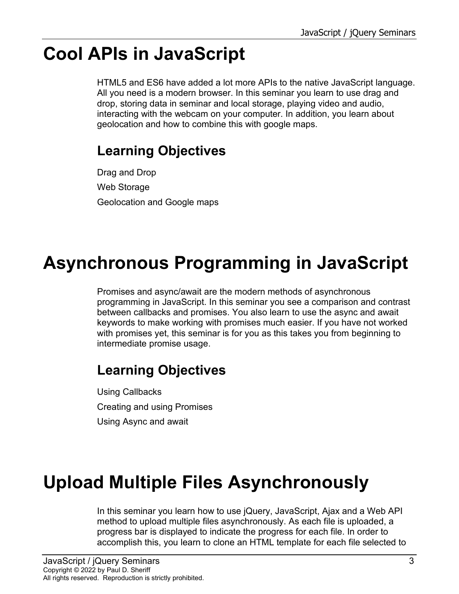# **Cool APIs in JavaScript**

HTML5 and ES6 have added a lot more APIs to the native JavaScript language. All you need is a modern browser. In this seminar you learn to use drag and drop, storing data in seminar and local storage, playing video and audio, interacting with the webcam on your computer. In addition, you learn about geolocation and how to combine this with google maps.

### **Learning Objectives**

Drag and Drop Web Storage Geolocation and Google maps

# **Asynchronous Programming in JavaScript**

Promises and async/await are the modern methods of asynchronous programming in JavaScript. In this seminar you see a comparison and contrast between callbacks and promises. You also learn to use the async and await keywords to make working with promises much easier. If you have not worked with promises yet, this seminar is for you as this takes you from beginning to intermediate promise usage.

### **Learning Objectives**

Using Callbacks Creating and using Promises Using Async and await

# **Upload Multiple Files Asynchronously**

In this seminar you learn how to use jQuery, JavaScript, Ajax and a Web API method to upload multiple files asynchronously. As each file is uploaded, a progress bar is displayed to indicate the progress for each file. In order to accomplish this, you learn to clone an HTML template for each file selected to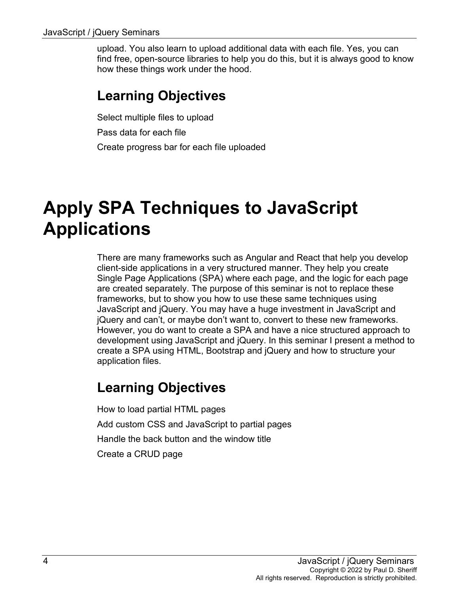upload. You also learn to upload additional data with each file. Yes, you can find free, open-source libraries to help you do this, but it is always good to know how these things work under the hood.

#### **Learning Objectives**

Select multiple files to upload Pass data for each file Create progress bar for each file uploaded

### **Apply SPA Techniques to JavaScript Applications**

There are many frameworks such as Angular and React that help you develop client-side applications in a very structured manner. They help you create Single Page Applications (SPA) where each page, and the logic for each page are created separately. The purpose of this seminar is not to replace these frameworks, but to show you how to use these same techniques using JavaScript and jQuery. You may have a huge investment in JavaScript and jQuery and can't, or maybe don't want to, convert to these new frameworks. However, you do want to create a SPA and have a nice structured approach to development using JavaScript and jQuery. In this seminar I present a method to create a SPA using HTML, Bootstrap and jQuery and how to structure your application files.

#### **Learning Objectives**

How to load partial HTML pages Add custom CSS and JavaScript to partial pages Handle the back button and the window title Create a CRUD page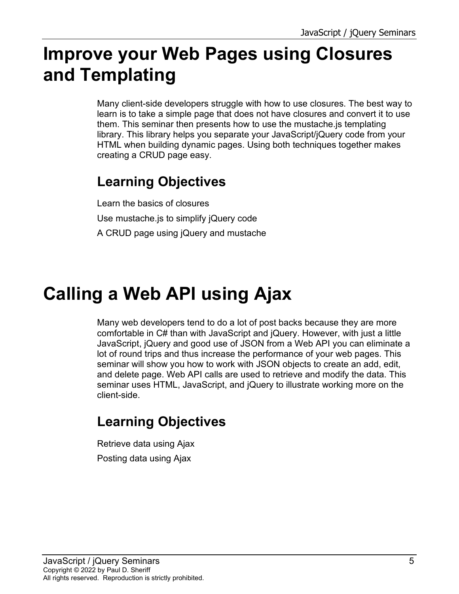# **Improve your Web Pages using Closures and Templating**

Many client-side developers struggle with how to use closures. The best way to learn is to take a simple page that does not have closures and convert it to use them. This seminar then presents how to use the mustache.js templating library. This library helps you separate your JavaScript/jQuery code from your HTML when building dynamic pages. Using both techniques together makes creating a CRUD page easy.

### **Learning Objectives**

Learn the basics of closures Use mustache.js to simplify jQuery code A CRUD page using jQuery and mustache

# **Calling a Web API using Ajax**

Many web developers tend to do a lot of post backs because they are more comfortable in C# than with JavaScript and jQuery. However, with just a little JavaScript, jQuery and good use of JSON from a Web API you can eliminate a lot of round trips and thus increase the performance of your web pages. This seminar will show you how to work with JSON objects to create an add, edit, and delete page. Web API calls are used to retrieve and modify the data. This seminar uses HTML, JavaScript, and jQuery to illustrate working more on the client-side.

### **Learning Objectives**

Retrieve data using Ajax Posting data using Ajax